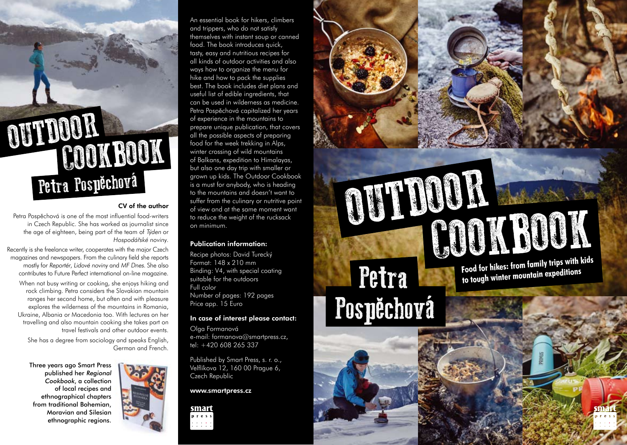# Petra Pospěchová OUTDOOR COOKBOOK

#### CV of the author

Petra Pospěchová is one of the most influential food-writers in Czech Republic. She has worked as journalist since the age of eighteen, being part of the team of *Týden* or *Hospodářské noviny*.

Recently is she freelance writer, cooperates with the major Czech magazines and newspapers. From the culinary field she reports mostly for *Reportér*, *Lidové noviny* and *MF Dnes*. She also contributes to Future Perfect international on-line magazine.

When not busy writing or cooking, she enjoys hiking and rock climbing. Petra considers the Slovakian mountain ranges her second home, but often and with pleasure explores the wilderness of the mountains in Romania, Ukraine, Albania or Macedonia too. With lectures on her travelling and also mountain cooking she takes part on travel festivals and other outdoor events.

She has a degree from sociology and speaks English, German and French.

Three years ago Smart Press published her *Regional Cookbook*, a collection of local recipes and ethnographical chapters from traditional Bohemian, Moravian and Silesian ethnographic regions.



An essential book for hikers, climbers and trippers, who do not satisfy themselves with instant soup or canned food. The book introduces quick, tasty, easy and nutritious recipes for all kinds of outdoor activities and also ways how to organize the menu for hike and how to pack the supplies best. The book includes diet plans and useful list of edible ingredients, that can be used in wilderness as medicine. Petra Pospěchová capitalized her years of experience in the mountains to prepare unique publication, that covers all the possible aspects of preparing food for the week trekking in Alps, winter crossing of wild mountains of Balkans, expedition to Himalayas, but also one day trip with smaller or grown up kids. The Outdoor Cookbook is a must for anybody, who is heading to the mountains and doesn't want to suffer from the culinary or nutritive point of view and at the same moment want to reduce the weight of the rucksack on minimum.

#### Publication information:

Recipe photos: David Turecký Format: 148 x 210 mm Binding: V4, with special coating suitable for the outdoors Full color Number of pages: 192 pages Price app. 15 Euro

#### In case of interest please contact:

Olga Formanová e-mail: formanova@smartpress.cz, tel: +420 608 265 337

Published by Smart Press, s. r. o., Velflíkova 12, 160 00 Prague 6, Czech Republic

www.smartpress.cz



OUTDOOR GOOKBOOK Petra Pospěchová

**Food for hikes: from family trips with kids to tough winter mountain expeditions**